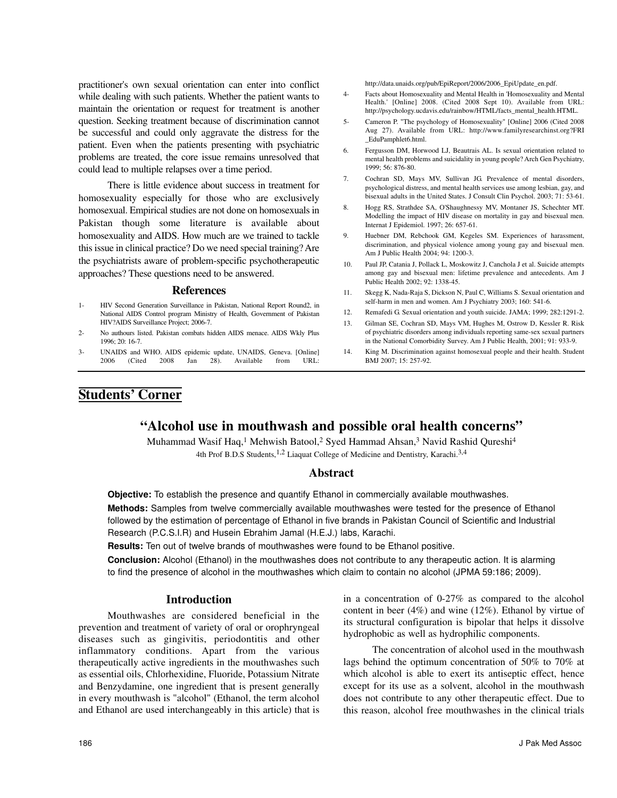# **"Alcohol use in mouthwash and possible oral health concerns"**

Muhammad Wasif Haq,<sup>1</sup> Mehwish Batool,<sup>2</sup> Syed Hammad Ahsan,<sup>3</sup> Navid Rashid Qureshi<sup>4</sup> 4th Prof B.D.S Students, <sup>1,2</sup> Liaquat College of Medicine and Dentistry, Karachi.<sup>3,4</sup>

# **Abstract**

**Objective:** To establish the presence and quantify Ethanol in commercially available mouthwashes.

**Methods:** Samples from twelve commercially available mouthwashes were tested for the presence of Ethanol followed by the estimation of percentage of Ethanol in five brands in Pakistan Council of Scientific and Industrial Research (P.C.S.I.R) and Husein Ebrahim Jamal (H.E.J.) labs, Karachi.

**Results:** Ten out of twelve brands of mouthwashes were found to be Ethanol positive.

**Conclusion:** Alcohol (Ethanol) in the mouthwashes does not contribute to any therapeutic action. It is alarming to find the presence of alcohol in the mouthwashes which claim to contain no alcohol (JPMA 59:186; 2009).

## **Introduction**

Mouthwashes are considered beneficial in the prevention and treatment of variety of oral or orophryngeal diseases such as gingivitis, periodontitis and other inflammatory conditions. Apart from the various therapeutically active ingredients in the mouthwashes such as essential oils, Chlorhexidine, Fluoride, Potassium Nitrate and Benzydamine, one ingredient that is present generally in every mouthwash is "alcohol" (Ethanol, the term alcohol and Ethanol are used interchangeably in this article) that is in a concentration of 0-27% as compared to the alcohol content in beer (4%) and wine (12%). Ethanol by virtue of its structural configuration is bipolar that helps it dissolve hydrophobic as well as hydrophilic components.

The concentration of alcohol used in the mouthwash lags behind the optimum concentration of 50% to 70% at which alcohol is able to exert its antiseptic effect, hence except for its use as a solvent, alcohol in the mouthwash does not contribute to any other therapeutic effect. Due to this reason, alcohol free mouthwashes in the clinical trials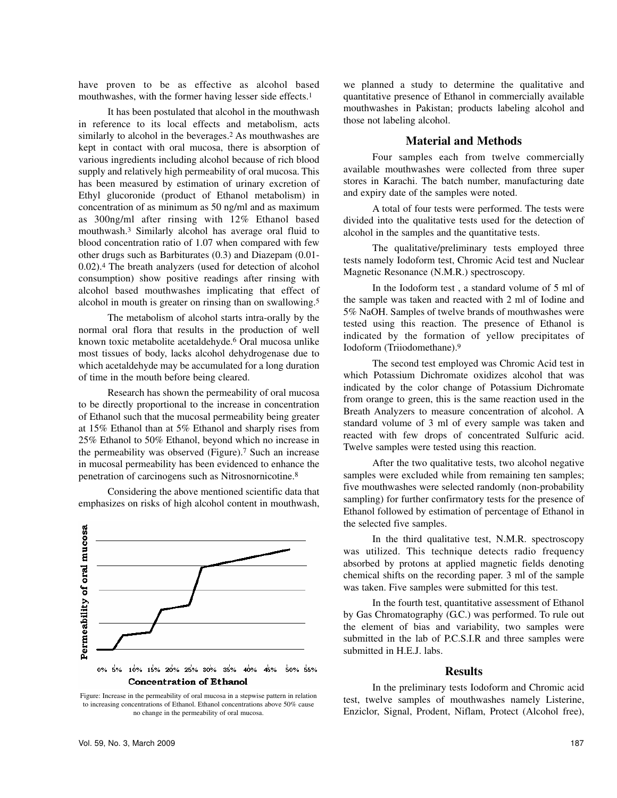have proven to be as effective as alcohol based mouthwashes, with the former having lesser side effects.<sup>1</sup>

It has been postulated that alcohol in the mouthwash in reference to its local effects and metabolism, acts similarly to alcohol in the beverages.<sup>2</sup> As mouthwashes are kept in contact with oral mucosa, there is absorption of various ingredients including alcohol because of rich blood supply and relatively high permeability of oral mucosa. This has been measured by estimation of urinary excretion of Ethyl glucoronide (product of Ethanol metabolism) in concentration of as minimum as 50 ng/ml and as maximum as 300ng/ml after rinsing with 12% Ethanol based mouthwash.<sup>3</sup> Similarly alcohol has average oral fluid to blood concentration ratio of 1.07 when compared with few other drugs such as Barbiturates (0.3) and Diazepam (0.01- 0.02).<sup>4</sup> The breath analyzers (used for detection of alcohol consumption) show positive readings after rinsing with alcohol based mouthwashes implicating that effect of alcohol in mouth is greater on rinsing than on swallowing.<sup>5</sup>

The metabolism of alcohol starts intra-orally by the normal oral flora that results in the production of well known toxic metabolite acetaldehyde.<sup>6</sup> Oral mucosa unlike most tissues of body, lacks alcohol dehydrogenase due to which acetaldehyde may be accumulated for a long duration of time in the mouth before being cleared.

Research has shown the permeability of oral mucosa to be directly proportional to the increase in concentration of Ethanol such that the mucosal permeability being greater at 15% Ethanol than at 5% Ethanol and sharply rises from 25% Ethanol to 50% Ethanol, beyond which no increase in the permeability was observed (Figure).<sup>7</sup> Such an increase in mucosal permeability has been evidenced to enhance the penetration of carcinogens such as Nitrosnornicotine.<sup>8</sup>

Considering the above mentioned scientific data that emphasizes on risks of high alcohol content in mouthwash,



Figure: Increase in the permeability of oral mucosa in a stepwise pattern in relation to increasing concentrations of Ethanol. Ethanol concentrations above 50% cause no change in the permeability of oral mucosa.

we planned a study to determine the qualitative and quantitative presence of Ethanol in commercially available mouthwashes in Pakistan; products labeling alcohol and those not labeling alcohol.

### **Material and Methods**

Four samples each from twelve commercially available mouthwashes were collected from three super stores in Karachi. The batch number, manufacturing date and expiry date of the samples were noted.

A total of four tests were performed. The tests were divided into the qualitative tests used for the detection of alcohol in the samples and the quantitative tests.

The qualitative/preliminary tests employed three tests namely Iodoform test, Chromic Acid test and Nuclear Magnetic Resonance (N.M.R.) spectroscopy.

In the Iodoform test , a standard volume of 5 ml of the sample was taken and reacted with 2 ml of Iodine and 5% NaOH. Samples of twelve brands of mouthwashes were tested using this reaction. The presence of Ethanol is indicated by the formation of yellow precipitates of Iodoform (Triiodomethane).<sup>9</sup>

The second test employed was Chromic Acid test in which Potassium Dichromate oxidizes alcohol that was indicated by the color change of Potassium Dichromate from orange to green, this is the same reaction used in the Breath Analyzers to measure concentration of alcohol. A standard volume of 3 ml of every sample was taken and reacted with few drops of concentrated Sulfuric acid. Twelve samples were tested using this reaction.

After the two qualitative tests, two alcohol negative samples were excluded while from remaining ten samples; five mouthwashes were selected randomly (non-probability sampling) for further confirmatory tests for the presence of Ethanol followed by estimation of percentage of Ethanol in the selected five samples.

In the third qualitative test, N.M.R. spectroscopy was utilized. This technique detects radio frequency absorbed by protons at applied magnetic fields denoting chemical shifts on the recording paper. 3 ml of the sample was taken. Five samples were submitted for this test.

In the fourth test, quantitative assessment of Ethanol by Gas Chromatography (G.C.) was performed. To rule out the element of bias and variability, two samples were submitted in the lab of P.C.S.I.R and three samples were submitted in H.E.J. labs.

## **Results**

In the preliminary tests Iodoform and Chromic acid test, twelve samples of mouthwashes namely Listerine, Enziclor, Signal, Prodent, Niflam, Protect (Alcohol free),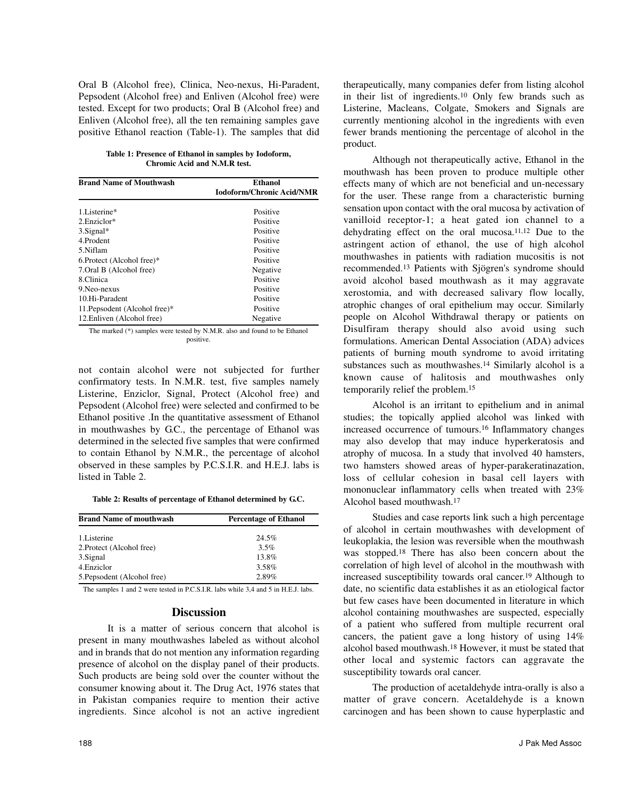Oral B (Alcohol free), Clinica, Neo-nexus, Hi-Paradent, Pepsodent (Alcohol free) and Enliven (Alcohol free) were tested. Except for two products; Oral B (Alcohol free) and Enliven (Alcohol free), all the ten remaining samples gave positive Ethanol reaction (Table-1). The samples that did

**Table 1: Presence of Ethanol in samples by Iodoform, Chromic Acid and N.M.R test.**

| <b>Brand Name of Mouthwash</b> | Ethanol<br><b>Iodoform/Chronic Acid/NMR</b> |
|--------------------------------|---------------------------------------------|
|                                |                                             |
| 1.Listerine*                   | Positive                                    |
| 2. Enziclor*                   | Positive                                    |
| $3.$ Signal*                   | Positive                                    |
| 4 Prodent                      | Positive                                    |
| 5.Niflam                       | Positive                                    |
| 6. Protect (Alcohol free)*     | Positive                                    |
| 7. Oral B (Alcohol free)       | Negative                                    |
| 8.Clinica                      | Positive                                    |
| 9. Neo-nexus                   | Positive                                    |
| 10.Hi-Paradent                 | Positive                                    |
| 11. Pepsodent (Alcohol free)*  | Positive                                    |
| 12. Enliven (Alcohol free)     | Negative                                    |

The marked (\*) samples were tested by N.M.R. also and found to be Ethanol positive.

not contain alcohol were not subjected for further confirmatory tests. In N.M.R. test, five samples namely Listerine, Enziclor, Signal, Protect (Alcohol free) and Pepsodent (Alcohol free) were selected and confirmed to be Ethanol positive .In the quantitative assessment of Ethanol in mouthwashes by G.C., the percentage of Ethanol was determined in the selected five samples that were confirmed to contain Ethanol by N.M.R., the percentage of alcohol observed in these samples by P.C.S.I.R. and H.E.J. labs is listed in Table 2.

**Table 2: Results of percentage of Ethanol determined by G.C.**

| <b>Brand Name of mouthwash</b> | <b>Percentage of Ethanol</b> |
|--------------------------------|------------------------------|
| 1. Listerine                   | 24.5%                        |
| 2. Protect (Alcohol free)      | $3.5\%$                      |
| 3. Signal                      | 13.8%                        |
| 4. Enziclor                    | 3.58%                        |
| 5. Pepsodent (Alcohol free)    | 2.89%                        |

The samples 1 and 2 were tested in P.C.S.I.R. labs while 3,4 and 5 in H.E.J. labs.

## **Discussion**

It is a matter of serious concern that alcohol is present in many mouthwashes labeled as without alcohol and in brands that do not mention any information regarding presence of alcohol on the display panel of their products. Such products are being sold over the counter without the consumer knowing about it. The Drug Act, 1976 states that in Pakistan companies require to mention their active ingredients. Since alcohol is not an active ingredient therapeutically, many companies defer from listing alcohol in their list of ingredients.<sup>10</sup> Only few brands such as Listerine, Macleans, Colgate, Smokers and Signals are currently mentioning alcohol in the ingredients with even fewer brands mentioning the percentage of alcohol in the product.

Although not therapeutically active, Ethanol in the mouthwash has been proven to produce multiple other effects many of which are not beneficial and un-necessary for the user. These range from a characteristic burning sensation upon contact with the oral mucosa by activation of vanilloid receptor-1; a heat gated ion channel to a dehydrating effect on the oral mucosa.11,12 Due to the astringent action of ethanol, the use of high alcohol mouthwashes in patients with radiation mucositis is not recommended.<sup>13</sup> Patients with Sjögren's syndrome should avoid alcohol based mouthwash as it may aggravate xerostomia, and with decreased salivary flow locally, atrophic changes of oral epithelium may occur. Similarly people on Alcohol Withdrawal therapy or patients on Disulfiram therapy should also avoid using such formulations. American Dental Association (ADA) advices patients of burning mouth syndrome to avoid irritating substances such as mouthwashes.<sup>14</sup> Similarly alcohol is a known cause of halitosis and mouthwashes only temporarily relief the problem.<sup>15</sup>

Alcohol is an irritant to epithelium and in animal studies; the topically applied alcohol was linked with increased occurrence of tumours.<sup>16</sup> Inflammatory changes may also develop that may induce hyperkeratosis and atrophy of mucosa. In a study that involved 40 hamsters, two hamsters showed areas of hyper-parakeratinazation, loss of cellular cohesion in basal cell layers with mononuclear inflammatory cells when treated with 23% Alcohol based mouthwash.<sup>17</sup>

Studies and case reports link such a high percentage of alcohol in certain mouthwashes with development of leukoplakia, the lesion was reversible when the mouthwash was stopped.<sup>18</sup> There has also been concern about the correlation of high level of alcohol in the mouthwash with increased susceptibility towards oral cancer. <sup>19</sup> Although to date, no scientific data establishes it as an etiological factor but few cases have been documented in literature in which alcohol containing mouthwashes are suspected, especially of a patient who suffered from multiple recurrent oral cancers, the patient gave a long history of using 14% alcohol based mouthwash.<sup>18</sup> However, it must be stated that other local and systemic factors can aggravate the susceptibility towards oral cancer.

The production of acetaldehyde intra-orally is also a matter of grave concern. Acetaldehyde is a known carcinogen and has been shown to cause hyperplastic and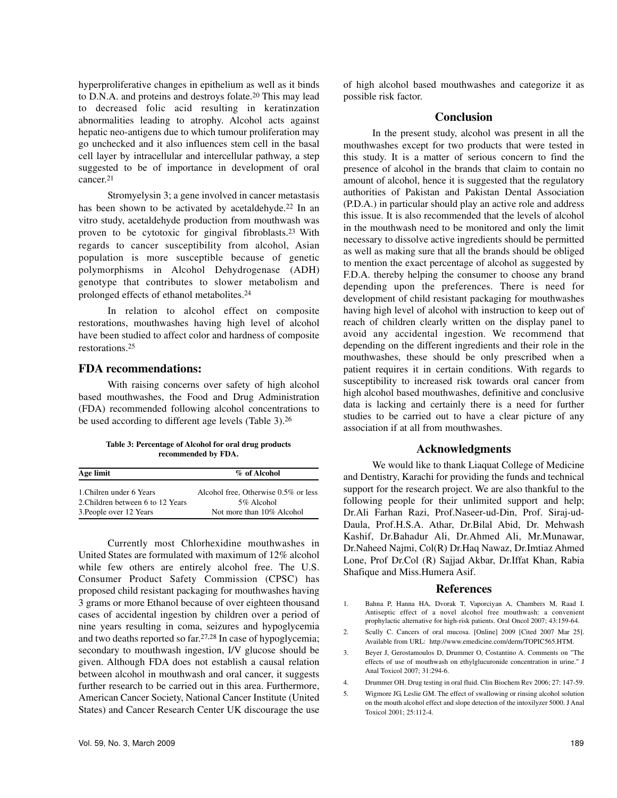hyperproliferative changes in epithelium as well as it binds to D.N.A. and proteins and destroys folate.<sup>20</sup> This may lead to decreased folic acid resulting in keratinzation abnormalities leading to atrophy. Alcohol acts against hepatic neo-antigens due to which tumour proliferation may go unchecked and it also influences stem cell in the basal cell layer by intracellular and intercellular pathway, a step suggested to be of importance in development of oral cancer. 21

Stromyelysin 3; a gene involved in cancer metastasis has been shown to be activated by acetaldehyde.<sup>22</sup> In an vitro study, acetaldehyde production from mouthwash was proven to be cytotoxic for gingival fibroblasts.<sup>23</sup> With regards to cancer susceptibility from alcohol, Asian population is more susceptible because of genetic polymorphisms in Alcohol Dehydrogenase (ADH) genotype that contributes to slower metabolism and prolonged effects of ethanol metabolites.<sup>24</sup>

In relation to alcohol effect on composite restorations, mouthwashes having high level of alcohol have been studied to affect color and hardness of composite restorations.<sup>25</sup>

### **FDA recommendations:**

With raising concerns over safety of high alcohol based mouthwashes, the Food and Drug Administration (FDA) recommended following alcohol concentrations to be used according to different age levels (Table 3).<sup>26</sup>

**Table 3: Percentage of Alcohol for oral drug products recommended by FDA.**

| Age limit                                                     | % of Alcohol                                       |
|---------------------------------------------------------------|----------------------------------------------------|
| 1. Chilren under 6 Years<br>2. Children between 6 to 12 Years | Alcohol free, Otherwise 0.5% or less<br>5% Alcohol |
| 3. People over 12 Years                                       | Not more than 10% Alcohol                          |

Currently most Chlorhexidine mouthwashes in United States are formulated with maximum of 12% alcohol while few others are entirely alcohol free. The U.S. Consumer Product Safety Commission (CPSC) has proposed child resistant packaging for mouthwashes having 3 grams or more Ethanol because of over eighteen thousand cases of accidental ingestion by children over a period of nine years resulting in coma, seizures and hypoglycemia and two deaths reported so far. 27,28 In case of hypoglycemia; secondary to mouthwash ingestion, I/V glucose should be given. Although FDA does not establish a causal relation between alcohol in mouthwash and oral cancer, it suggests further research to be carried out in this area. Furthermore, American Cancer Society, National Cancer Institute (United States) and Cancer Research Center UK discourage the use

## **Conclusion**

In the present study, alcohol was present in all the mouthwashes except for two products that were tested in this study. It is a matter of serious concern to find the presence of alcohol in the brands that claim to contain no amount of alcohol, hence it is suggested that the regulatory authorities of Pakistan and Pakistan Dental Association (P.D.A.) in particular should play an active role and address this issue. It is also recommended that the levels of alcohol in the mouthwash need to be monitored and only the limit necessary to dissolve active ingredients should be permitted as well as making sure that all the brands should be obliged to mention the exact percentage of alcohol as suggested by F.D.A. thereby helping the consumer to choose any brand depending upon the preferences. There is need for development of child resistant packaging for mouthwashes having high level of alcohol with instruction to keep out of reach of children clearly written on the display panel to avoid any accidental ingestion. We recommend that depending on the different ingredients and their role in the mouthwashes, these should be only prescribed when a patient requires it in certain conditions. With regards to susceptibility to increased risk towards oral cancer from high alcohol based mouthwashes, definitive and conclusive data is lacking and certainly there is a need for further studies to be carried out to have a clear picture of any association if at all from mouthwashes.

## **Acknowledgments**

We would like to thank Liaquat College of Medicine and Dentistry, Karachi for providing the funds and technical support for the research project. We are also thankful to the following people for their unlimited support and help; Dr.Ali Farhan Razi, Prof.Naseer-ud-Din, Prof. Siraj-ud-Daula, Prof.H.S.A. Athar, Dr.Bilal Abid, Dr. Mehwash Kashif, Dr.Bahadur Ali, Dr.Ahmed Ali, Mr.Munawar, Dr.Naheed Najmi, Col(R) Dr.Haq Nawaz, Dr.Imtiaz Ahmed Lone, Prof Dr.Col (R) Sajjad Akbar, Dr.Iffat Khan, Rabia Shafique and Miss.Humera Asif.

### **References**

- 1. Bahna P, Hanna HA, Dvorak T, Vaporciyan A, Chambers M, Raad I. Antiseptic effect of a novel alcohol free mouthwash: a convenient prophylactic alternative for high-risk patients. Oral Oncol 2007; 43:159-64.
- 2. Scully C. Cancers of oral mucosa. [Online] 2009 [Cited 2007 Mar 25]. Available from URL: http://www.emedicine.com/derm/TOPIC565.HTM.
- 3. Beyer J, Gerostamoulos D, Drummer O, Costantino A. Comments on "The effects of use of mouthwash on ethylglucuronide concentration in urine." J Anal Toxicol 2007; 31:294-6.
- 4. Drummer OH. Drug testing in oral fluid. Clin Biochem Rev 2006; 27: 147-59.
- 5. Wigmore JG, Leslie GM. The effect of swallowing or rinsing alcohol solution on the mouth alcohol effect and slope detection of the intoxilyzer 5000. J Anal Toxicol 2001; 25:112-4.